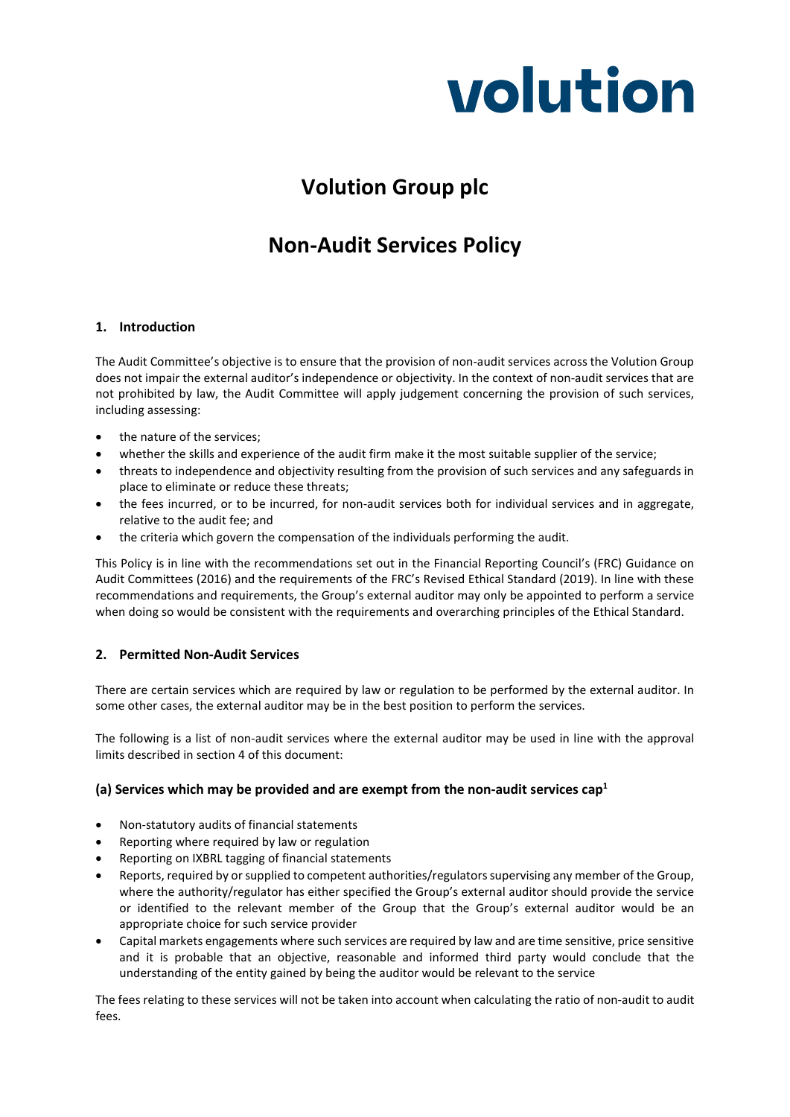

# **Volution Group plc**

## **Non-Audit Services Policy**

### **1. Introduction**

The Audit Committee's objective is to ensure that the provision of non-audit services across the Volution Group does not impair the external auditor's independence or objectivity. In the context of non-audit services that are not prohibited by law, the Audit Committee will apply judgement concerning the provision of such services, including assessing:

- the nature of the services;
- whether the skills and experience of the audit firm make it the most suitable supplier of the service;
- threats to independence and objectivity resulting from the provision of such services and any safeguards in place to eliminate or reduce these threats;
- the fees incurred, or to be incurred, for non-audit services both for individual services and in aggregate, relative to the audit fee; and
- the criteria which govern the compensation of the individuals performing the audit.

This Policy is in line with the recommendations set out in the Financial Reporting Council's (FRC) Guidance on Audit Committees (2016) and the requirements of the FRC's Revised Ethical Standard (2019). In line with these recommendations and requirements, the Group's external auditor may only be appointed to perform a service when doing so would be consistent with the requirements and overarching principles of the Ethical Standard.

### **2. Permitted Non-Audit Services**

There are certain services which are required by law or regulation to be performed by the external auditor. In some other cases, the external auditor may be in the best position to perform the services.

The following is a list of non-audit services where the external auditor may be used in line with the approval limits described in section 4 of this document:

### **(a) Services which may be provided and are exempt from the non-audit services cap1**

- Non-statutory audits of financial statements
- Reporting where required by law or regulation
- Reporting on IXBRL tagging of financial statements
- Reports, required by or supplied to competent authorities/regulators supervising any member of the Group, where the authority/regulator has either specified the Group's external auditor should provide the service or identified to the relevant member of the Group that the Group's external auditor would be an appropriate choice for such service provider
- Capital markets engagements where such services are required by law and are time sensitive, price sensitive and it is probable that an objective, reasonable and informed third party would conclude that the understanding of the entity gained by being the auditor would be relevant to the service

The fees relating to these services will not be taken into account when calculating the ratio of non-audit to audit fees.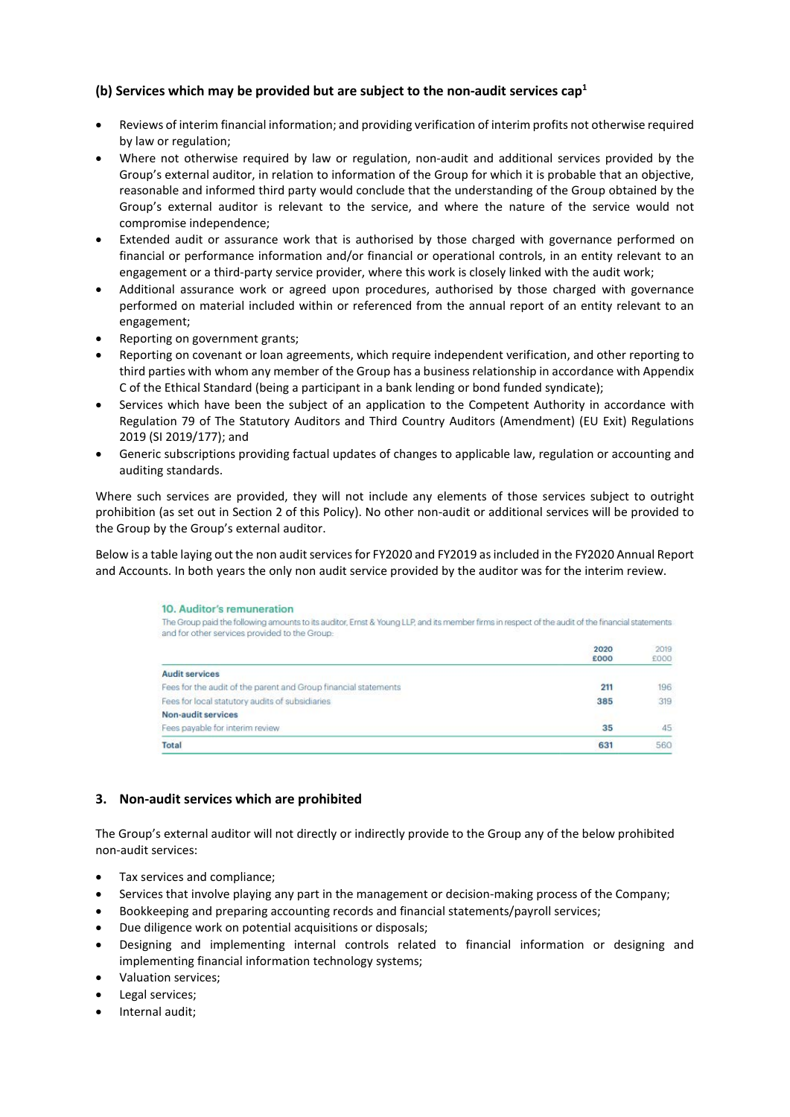### **(b) Services which may be provided but are subject to the non-audit services cap1**

- Reviews of interim financial information; and providing verification of interim profits not otherwise required by law or regulation;
- Where not otherwise required by law or regulation, non-audit and additional services provided by the Group's external auditor, in relation to information of the Group for which it is probable that an objective, reasonable and informed third party would conclude that the understanding of the Group obtained by the Group's external auditor is relevant to the service, and where the nature of the service would not compromise independence;
- Extended audit or assurance work that is authorised by those charged with governance performed on financial or performance information and/or financial or operational controls, in an entity relevant to an engagement or a third-party service provider, where this work is closely linked with the audit work;
- Additional assurance work or agreed upon procedures, authorised by those charged with governance performed on material included within or referenced from the annual report of an entity relevant to an engagement;
- Reporting on government grants;
- Reporting on covenant or loan agreements, which require independent verification, and other reporting to third parties with whom any member of the Group has a business relationship in accordance with Appendix C of the Ethical Standard (being a participant in a bank lending or bond funded syndicate);
- Services which have been the subject of an application to the Competent Authority in accordance with Regulation 79 of The Statutory Auditors and Third Country Auditors (Amendment) (EU Exit) Regulations 2019 (SI 2019/177); and
- Generic subscriptions providing factual updates of changes to applicable law, regulation or accounting and auditing standards.

Where such services are provided, they will not include any elements of those services subject to outright prohibition (as set out in Section 2 of this Policy). No other non-audit or additional services will be provided to the Group by the Group's external auditor.

Below is a table laying out the non audit services for FY2020 and FY2019 as included in the FY2020 Annual Report and Accounts. In both years the only non audit service provided by the auditor was for the interim review.

| 10. Auditor's remuneration<br>The Group paid the following amounts to its auditor, Ernst & Young LLP, and its member firms in respect of the audit of the financial statements<br>and for other services provided to the Group: |              |              |
|---------------------------------------------------------------------------------------------------------------------------------------------------------------------------------------------------------------------------------|--------------|--------------|
|                                                                                                                                                                                                                                 | 2020<br>£000 | 2019<br>£000 |
| <b>Audit services</b>                                                                                                                                                                                                           |              |              |
| Fees for the audit of the parent and Group financial statements                                                                                                                                                                 | 211          | 196          |
| Fees for local statutory audits of subsidiaries                                                                                                                                                                                 | 385          | 319          |
| Non-audit services                                                                                                                                                                                                              |              |              |
| Fees payable for interim review                                                                                                                                                                                                 | 35           | 45           |
| Total                                                                                                                                                                                                                           | 631          | 560          |

### **3. Non-audit services which are prohibited**

The Group's external auditor will not directly or indirectly provide to the Group any of the below prohibited non-audit services:

- Tax services and compliance;
- Services that involve playing any part in the management or decision-making process of the Company;
- Bookkeeping and preparing accounting records and financial statements/payroll services;
- Due diligence work on potential acquisitions or disposals;
- Designing and implementing internal controls related to financial information or designing and implementing financial information technology systems;
- Valuation services;
- Legal services:
- Internal audit;